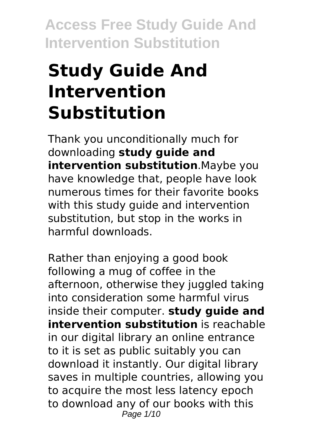# **Study Guide And Intervention Substitution**

Thank you unconditionally much for downloading **study guide and intervention substitution**.Maybe you have knowledge that, people have look numerous times for their favorite books with this study guide and intervention substitution, but stop in the works in harmful downloads.

Rather than enjoying a good book following a mug of coffee in the afternoon, otherwise they juggled taking into consideration some harmful virus inside their computer. **study guide and intervention substitution** is reachable in our digital library an online entrance to it is set as public suitably you can download it instantly. Our digital library saves in multiple countries, allowing you to acquire the most less latency epoch to download any of our books with this Page 1/10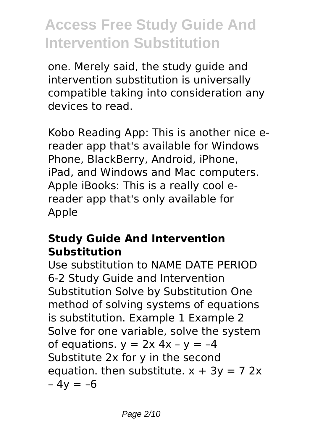one. Merely said, the study guide and intervention substitution is universally compatible taking into consideration any devices to read.

Kobo Reading App: This is another nice ereader app that's available for Windows Phone, BlackBerry, Android, iPhone, iPad, and Windows and Mac computers. Apple iBooks: This is a really cool ereader app that's only available for Apple

#### **Study Guide And Intervention Substitution**

Use substitution to NAME DATE PERIOD 6-2 Study Guide and Intervention Substitution Solve by Substitution One method of solving systems of equations is substitution. Example 1 Example 2 Solve for one variable, solve the system of equations.  $y = 2x 4x - y = -4$ Substitute 2x for y in the second equation. then substitute.  $x + 3y = 72x$ – 4y = –6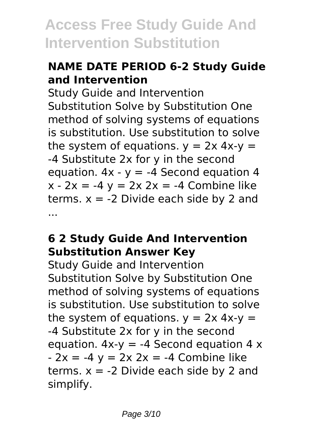#### **NAME DATE PERIOD 6-2 Study Guide and Intervention**

Study Guide and Intervention Substitution Solve by Substitution One method of solving systems of equations is substitution. Use substitution to solve the system of equations.  $y = 2x 4x-y =$ -4 Substitute 2x for y in the second equation.  $4x - y = -4$  Second equation 4  $x - 2x = -4$   $y = 2x 2x = -4$  Combine like terms.  $x = -2$  Divide each side by 2 and ...

#### **6 2 Study Guide And Intervention Substitution Answer Key**

Study Guide and Intervention Substitution Solve by Substitution One method of solving systems of equations is substitution. Use substitution to solve the system of equations.  $y = 2x 4x-y =$ -4 Substitute 2x for y in the second equation.  $4x-y = -4$  Second equation  $4x$  $- 2x = -4$  y =  $2x 2x = -4$  Combine like terms.  $x = -2$  Divide each side by 2 and simplify.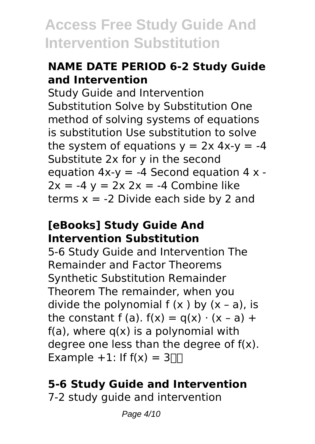#### **NAME DATE PERIOD 6-2 Study Guide and Intervention**

Study Guide and Intervention Substitution Solve by Substitution One method of solving systems of equations is substitution Use substitution to solve the system of equations  $y = 2x 4x-y = -4$ Substitute 2x for y in the second equation  $4x-y = -4$  Second equation  $4x 2x = -4$   $y = 2x$   $2x = -4$  Combine like terms  $x = -2$  Divide each side by 2 and

#### **[eBooks] Study Guide And Intervention Substitution**

5-6 Study Guide and Intervention The Remainder and Factor Theorems Synthetic Substitution Remainder Theorem The remainder, when you divide the polynomial  $f(x)$  by  $(x - a)$ , is the constant f (a).  $f(x) = g(x) \cdot (x - a) +$  $f(a)$ , where  $g(x)$  is a polynomial with degree one less than the degree of f(x). Example  $+1$ : If  $f(x) = 3\pi$ 

### **5-6 Study Guide and Intervention**

7-2 study guide and intervention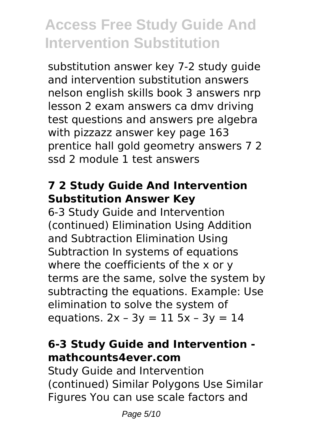substitution answer key 7-2 study guide and intervention substitution answers nelson english skills book 3 answers nrp lesson 2 exam answers ca dmv driving test questions and answers pre algebra with pizzazz answer key page 163 prentice hall gold geometry answers 7 2 ssd 2 module 1 test answers

#### **7 2 Study Guide And Intervention Substitution Answer Key**

6-3 Study Guide and Intervention (continued) Elimination Using Addition and Subtraction Elimination Using Subtraction In systems of equations where the coefficients of the x or y terms are the same, solve the system by subtracting the equations. Example: Use elimination to solve the system of equations.  $2x - 3y = 115x - 3y = 14$ 

### **6-3 Study Guide and Intervention mathcounts4ever.com**

Study Guide and Intervention (continued) Similar Polygons Use Similar Figures You can use scale factors and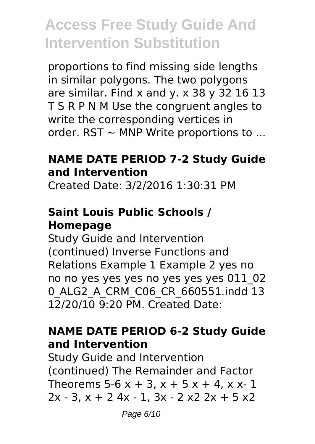proportions to find missing side lengths in similar polygons. The two polygons are similar. Find  $x$  and  $y$ .  $x$  38  $y$  32 16 13 T S R P N M Use the congruent angles to write the corresponding vertices in order. RST ∼ MNP Write proportions to ...

#### **NAME DATE PERIOD 7-2 Study Guide and Intervention**

Created Date: 3/2/2016 1:30:31 PM

#### **Saint Louis Public Schools / Homepage**

Study Guide and Intervention (continued) Inverse Functions and Relations Example 1 Example 2 yes no no no yes yes yes no yes yes yes 011\_02 0\_ALG2\_A\_CRM\_C06\_CR\_660551.indd 13 12/20/10 9:20 PM. Created Date:

#### **NAME DATE PERIOD 6-2 Study Guide and Intervention**

Study Guide and Intervention (continued) The Remainder and Factor Theorems 5-6  $x + 3$ ,  $x + 5x + 4$ ,  $x - 1$  $2x - 3$ ,  $x + 2 4x - 1$ ,  $3x - 2 x2 2x + 5 x2$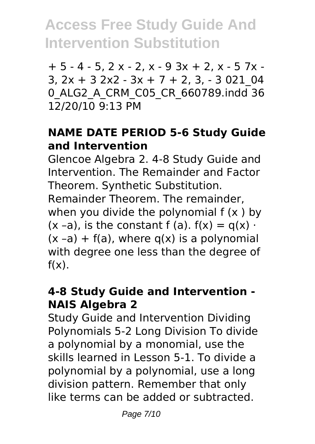+ 5 - 4 - 5, 2 x - 2, x - 9 3x + 2, x - 5 7x -  $3, 2x + 32x^2 - 3x + 7 + 2, 3, -302104$ 0\_ALG2\_A\_CRM\_C05\_CR\_660789.indd 36 12/20/10 9:13 PM

#### **NAME DATE PERIOD 5-6 Study Guide and Intervention**

Glencoe Algebra 2. 4-8 Study Guide and Intervention. The Remainder and Factor Theorem. Synthetic Substitution. Remainder Theorem. The remainder, when you divide the polynomial  $f(x)$  by  $(x - a)$ , is the constant f (a).  $f(x) = g(x)$ .  $(x - a) + f(a)$ , where  $g(x)$  is a polynomial with degree one less than the degree of  $f(x)$ .

### **4-8 Study Guide and Intervention - NAIS Algebra 2**

Study Guide and Intervention Dividing Polynomials 5-2 Long Division To divide a polynomial by a monomial, use the skills learned in Lesson 5-1. To divide a polynomial by a polynomial, use a long division pattern. Remember that only like terms can be added or subtracted.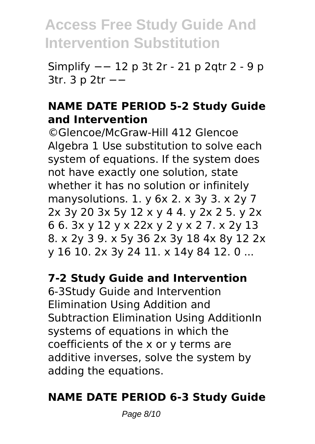Simplify −− 12 p 3t 2r - 21 p 2qtr 2 - 9 p 3tr. 3 p 2tr −−

#### **NAME DATE PERIOD 5-2 Study Guide and Intervention**

©Glencoe/McGraw-Hill 412 Glencoe Algebra 1 Use substitution to solve each system of equations. If the system does not have exactly one solution, state whether it has no solution or infinitely manysolutions. 1. y 6x 2. x 3y 3. x 2y 7 2x 3y 20 3x 5y 12 x y 4 4. y 2x 2 5. y 2x 6 6. 3x y 12 y x 22x y 2 y x 2 7. x 2y 13 8. x 2y 3 9. x 5y 36 2x 3y 18 4x 8y 12 2x y 16 10. 2x 3y 24 11. x 14y 84 12. 0 ...

### **7-2 Study Guide and Intervention**

6-3Study Guide and Intervention Elimination Using Addition and Subtraction Elimination Using AdditionIn systems of equations in which the coefficients of the x or y terms are additive inverses, solve the system by adding the equations.

#### **NAME DATE PERIOD 6-3 Study Guide**

Page 8/10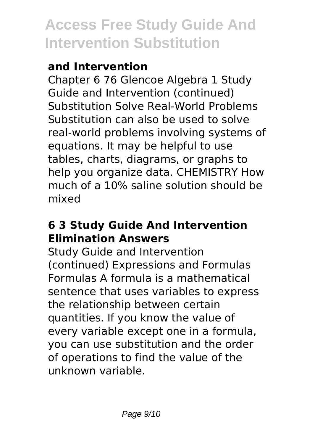#### **and Intervention**

Chapter 6 76 Glencoe Algebra 1 Study Guide and Intervention (continued) Substitution Solve Real-World Problems Substitution can also be used to solve real-world problems involving systems of equations. It may be helpful to use tables, charts, diagrams, or graphs to help you organize data. CHEMISTRY How much of a 10% saline solution should be mixed

### **6 3 Study Guide And Intervention Elimination Answers**

Study Guide and Intervention (continued) Expressions and Formulas Formulas A formula is a mathematical sentence that uses variables to express the relationship between certain quantities. If you know the value of every variable except one in a formula, you can use substitution and the order of operations to find the value of the unknown variable.